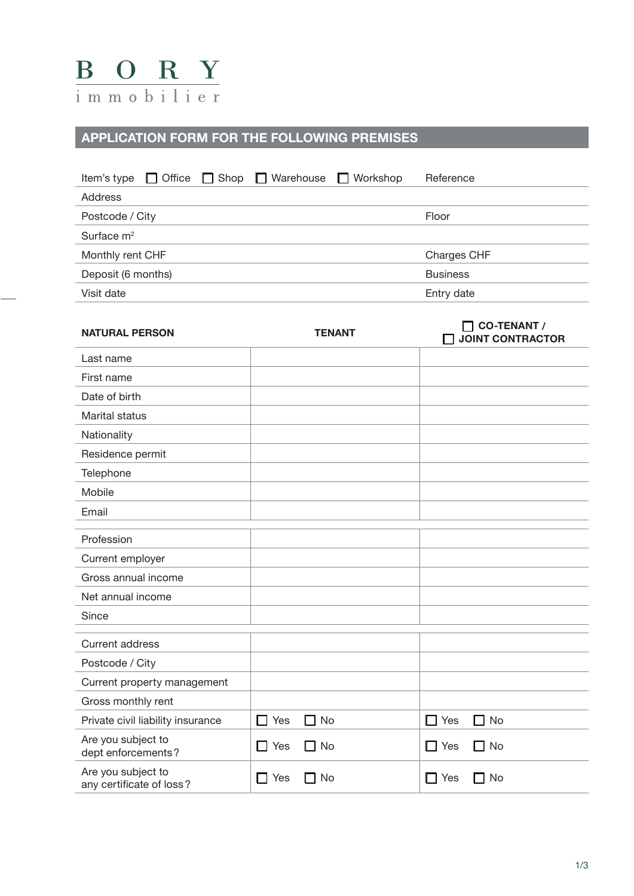

## **APPLICATION FORM FOR THE FOLLOWING PREMISES**

| <b>NATURAL PERSON</b>                          | <b>TENANT</b>                    | <b>CO-TENANT /</b><br>$\mathbf{I}$<br><b>JOINT CONTRACTOR</b> |
|------------------------------------------------|----------------------------------|---------------------------------------------------------------|
| Last name                                      |                                  |                                                               |
| First name                                     |                                  |                                                               |
| Date of birth                                  |                                  |                                                               |
| Marital status                                 |                                  |                                                               |
| Nationality                                    |                                  |                                                               |
| Residence permit                               |                                  |                                                               |
| Telephone                                      |                                  |                                                               |
| Mobile                                         |                                  |                                                               |
| Email                                          |                                  |                                                               |
| Profession                                     |                                  |                                                               |
| Current employer                               |                                  |                                                               |
| Gross annual income                            |                                  |                                                               |
| Net annual income                              |                                  |                                                               |
| Since                                          |                                  |                                                               |
| <b>Current address</b>                         |                                  |                                                               |
| Postcode / City                                |                                  |                                                               |
| Current property management                    |                                  |                                                               |
| Gross monthly rent                             |                                  |                                                               |
| Private civil liability insurance              | $\Box$ No<br>$\Box$ Yes          | П<br>$\Box$ Yes<br>No                                         |
| Are you subject to<br>dept enforcements?       | Yes<br>$\Box$ No<br>$\mathsf{L}$ | $\Box$ Yes<br>No<br>$\mathsf{L}$                              |
| Are you subject to<br>any certificate of loss? | $\Box$ No<br>$\Box$ Yes          | $\Box$ Yes<br>$\Box$ No                                       |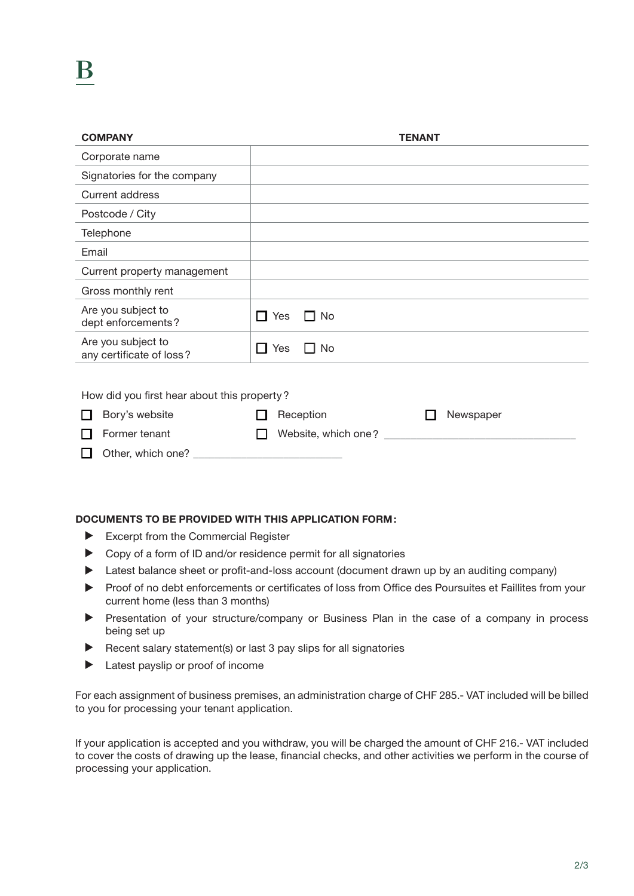| <b>COMPANY</b>                                 | <b>TENANT</b>           |  |
|------------------------------------------------|-------------------------|--|
| Corporate name                                 |                         |  |
| Signatories for the company                    |                         |  |
| <b>Current address</b>                         |                         |  |
| Postcode / City                                |                         |  |
| Telephone                                      |                         |  |
| Email                                          |                         |  |
| Current property management                    |                         |  |
| Gross monthly rent                             |                         |  |
| Are you subject to<br>dept enforcements?       | Yes<br>$\Box$ No<br>l 1 |  |
| Are you subject to<br>any certificate of loss? | $\Box$ Yes<br>$\Box$ No |  |
| How did you first hear about this property?    |                         |  |
| Bory's website                                 | Reception<br>Newspaper  |  |
| Former tenant                                  | Website, which one?     |  |
| Other, which one?                              |                         |  |

## **DOCUMENTS TO BE PROVIDED WITH THIS APPLICATION FORM:**

- $\blacktriangleright$  Excerpt from the Commercial Register
- ▶ Copy of a form of ID and/or residence permit for all signatories
- Eatest balance sheet or profit-and-loss account (document drawn up by an auditing company)
- Proof of no debt enforcements or certificates of loss from Office des Poursuites et Faillites from your current home (less than 3 months)
- **•** Presentation of your structure/company or Business Plan in the case of a company in process being set up
- $\blacktriangleright$  Recent salary statement(s) or last 3 pay slips for all signatories
- $\blacktriangleright$  Latest payslip or proof of income

For each assignment of business premises, an administration charge of CHF 285.- VAT included will be billed to you for processing your tenant application.

If your application is accepted and you withdraw, you will be charged the amount of CHF 216.- VAT included to cover the costs of drawing up the lease, financial checks, and other activities we perform in the course of processing your application.